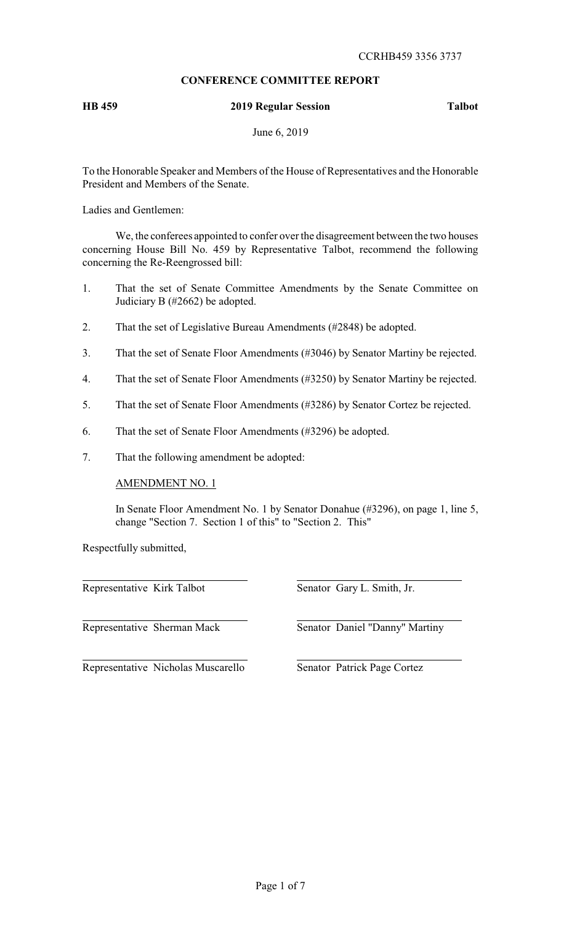# **CONFERENCE COMMITTEE REPORT**

# **HB 459 2019 Regular Session Talbot**

June 6, 2019

To the Honorable Speaker and Members of the House of Representatives and the Honorable President and Members of the Senate.

Ladies and Gentlemen:

We, the conferees appointed to confer over the disagreement between the two houses concerning House Bill No. 459 by Representative Talbot, recommend the following concerning the Re-Reengrossed bill:

- 1. That the set of Senate Committee Amendments by the Senate Committee on Judiciary B (#2662) be adopted.
- 2. That the set of Legislative Bureau Amendments (#2848) be adopted.
- 3. That the set of Senate Floor Amendments (#3046) by Senator Martiny be rejected.
- 4. That the set of Senate Floor Amendments (#3250) by Senator Martiny be rejected.
- 5. That the set of Senate Floor Amendments (#3286) by Senator Cortez be rejected.
- 6. That the set of Senate Floor Amendments (#3296) be adopted.
- 7. That the following amendment be adopted:

AMENDMENT NO. 1

In Senate Floor Amendment No. 1 by Senator Donahue (#3296), on page 1, line 5, change "Section 7. Section 1 of this" to "Section 2. This"

Respectfully submitted,

Representative Kirk Talbot Senator Gary L. Smith, Jr.

Representative Sherman Mack Senator Daniel "Danny" Martiny

Representative Nicholas Muscarello Senator Patrick Page Cortez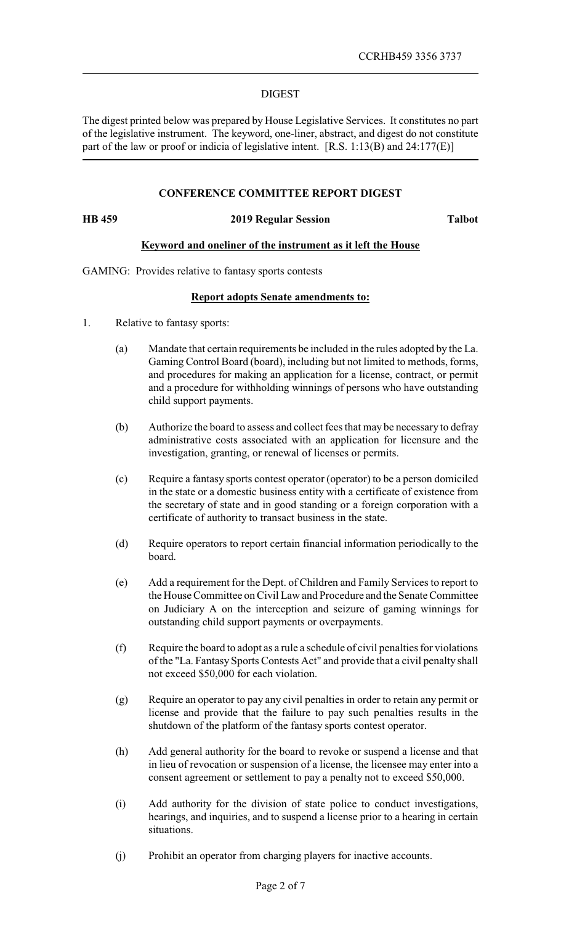### DIGEST

The digest printed below was prepared by House Legislative Services. It constitutes no part of the legislative instrument. The keyword, one-liner, abstract, and digest do not constitute part of the law or proof or indicia of legislative intent. [R.S. 1:13(B) and 24:177(E)]

### **CONFERENCE COMMITTEE REPORT DIGEST**

### **HB 459 2019 Regular Session Talbot**

### **Keyword and oneliner of the instrument as it left the House**

GAMING: Provides relative to fantasy sports contests

# **Report adopts Senate amendments to:**

- 1. Relative to fantasy sports:
	- (a) Mandate that certain requirements be included in the rules adopted by the La. Gaming Control Board (board), including but not limited to methods, forms, and procedures for making an application for a license, contract, or permit and a procedure for withholding winnings of persons who have outstanding child support payments.
	- (b) Authorize the board to assess and collect fees that may be necessary to defray administrative costs associated with an application for licensure and the investigation, granting, or renewal of licenses or permits.
	- (c) Require a fantasy sports contest operator (operator) to be a person domiciled in the state or a domestic business entity with a certificate of existence from the secretary of state and in good standing or a foreign corporation with a certificate of authority to transact business in the state.
	- (d) Require operators to report certain financial information periodically to the board.
	- (e) Add a requirement for the Dept. of Children and Family Services to report to the House Committee on Civil Law and Procedure and the Senate Committee on Judiciary A on the interception and seizure of gaming winnings for outstanding child support payments or overpayments.
	- (f) Require the board to adopt as a rule a schedule of civil penalties for violations of the "La. Fantasy Sports Contests Act" and provide that a civil penalty shall not exceed \$50,000 for each violation.
	- (g) Require an operator to pay any civil penalties in order to retain any permit or license and provide that the failure to pay such penalties results in the shutdown of the platform of the fantasy sports contest operator.
	- (h) Add general authority for the board to revoke or suspend a license and that in lieu of revocation or suspension of a license, the licensee may enter into a consent agreement or settlement to pay a penalty not to exceed \$50,000.
	- (i) Add authority for the division of state police to conduct investigations, hearings, and inquiries, and to suspend a license prior to a hearing in certain situations.
	- (j) Prohibit an operator from charging players for inactive accounts.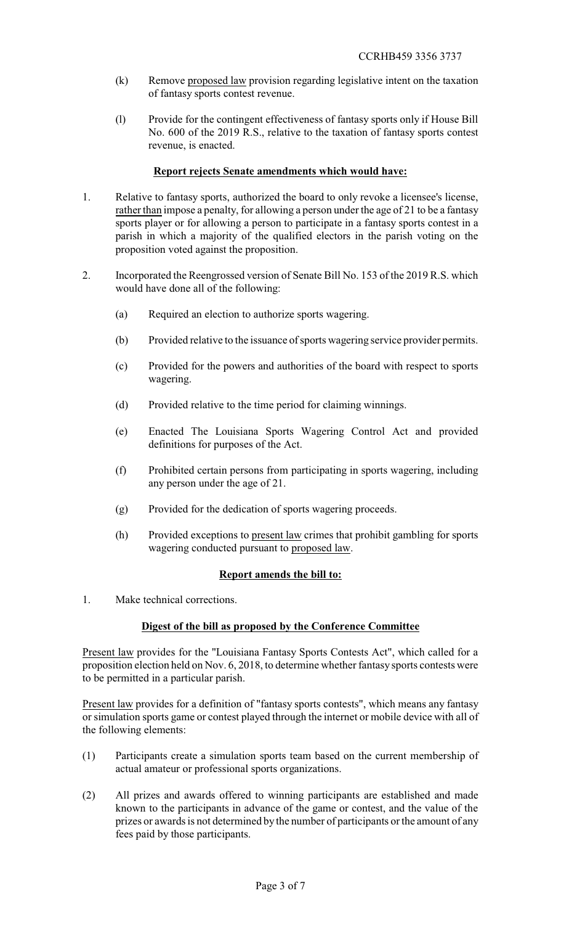- (k) Remove proposed law provision regarding legislative intent on the taxation of fantasy sports contest revenue.
- (l) Provide for the contingent effectiveness of fantasy sports only if House Bill No. 600 of the 2019 R.S., relative to the taxation of fantasy sports contest revenue, is enacted.

# **Report rejects Senate amendments which would have:**

- 1. Relative to fantasy sports, authorized the board to only revoke a licensee's license, rather than impose a penalty, for allowing a person under the age of 21 to be a fantasy sports player or for allowing a person to participate in a fantasy sports contest in a parish in which a majority of the qualified electors in the parish voting on the proposition voted against the proposition.
- 2. Incorporated the Reengrossed version of Senate Bill No. 153 of the 2019 R.S. which would have done all of the following:
	- (a) Required an election to authorize sports wagering.
	- (b) Provided relative to the issuance of sports wagering service provider permits.
	- (c) Provided for the powers and authorities of the board with respect to sports wagering.
	- (d) Provided relative to the time period for claiming winnings.
	- (e) Enacted The Louisiana Sports Wagering Control Act and provided definitions for purposes of the Act.
	- (f) Prohibited certain persons from participating in sports wagering, including any person under the age of 21.
	- (g) Provided for the dedication of sports wagering proceeds.
	- (h) Provided exceptions to present law crimes that prohibit gambling for sports wagering conducted pursuant to proposed law.

# **Report amends the bill to:**

1. Make technical corrections.

# **Digest of the bill as proposed by the Conference Committee**

Present law provides for the "Louisiana Fantasy Sports Contests Act", which called for a proposition election held on Nov. 6, 2018, to determine whether fantasy sports contests were to be permitted in a particular parish.

Present law provides for a definition of "fantasy sports contests", which means any fantasy or simulation sports game or contest played through the internet or mobile device with all of the following elements:

- (1) Participants create a simulation sports team based on the current membership of actual amateur or professional sports organizations.
- (2) All prizes and awards offered to winning participants are established and made known to the participants in advance of the game or contest, and the value of the prizes or awards is not determined by the number of participants or the amount of any fees paid by those participants.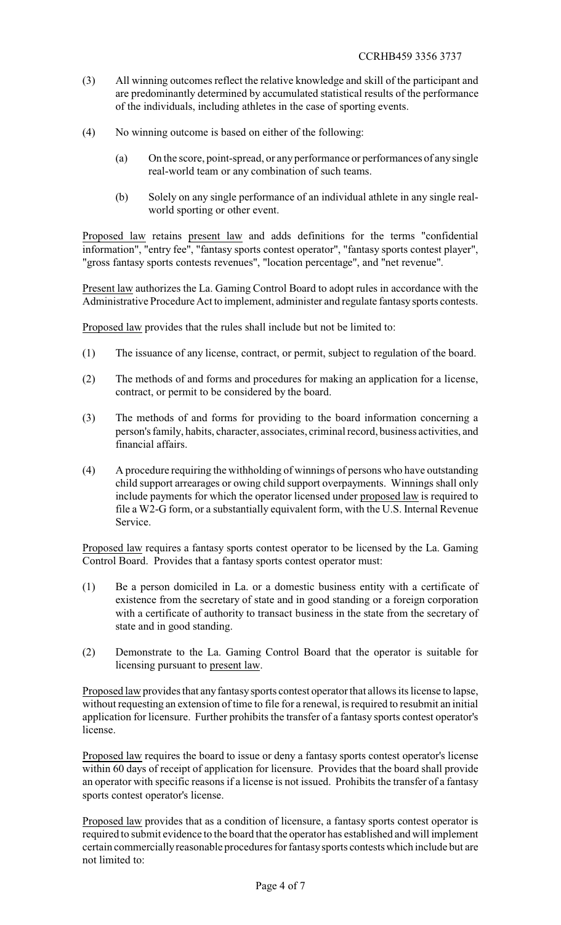- (3) All winning outcomes reflect the relative knowledge and skill of the participant and are predominantly determined by accumulated statistical results of the performance of the individuals, including athletes in the case of sporting events.
- (4) No winning outcome is based on either of the following:
	- (a) On the score, point-spread, or any performance or performances of any single real-world team or any combination of such teams.
	- (b) Solely on any single performance of an individual athlete in any single realworld sporting or other event.

Proposed law retains present law and adds definitions for the terms "confidential information", "entry fee", "fantasy sports contest operator", "fantasy sports contest player", "gross fantasy sports contests revenues", "location percentage", and "net revenue".

Present law authorizes the La. Gaming Control Board to adopt rules in accordance with the Administrative Procedure Act to implement, administer and regulate fantasysports contests.

Proposed law provides that the rules shall include but not be limited to:

- (1) The issuance of any license, contract, or permit, subject to regulation of the board.
- (2) The methods of and forms and procedures for making an application for a license, contract, or permit to be considered by the board.
- (3) The methods of and forms for providing to the board information concerning a person's family, habits, character, associates, criminal record, business activities, and financial affairs.
- (4) A procedure requiring the withholding of winnings of persons who have outstanding child support arrearages or owing child support overpayments. Winnings shall only include payments for which the operator licensed under proposed law is required to file a W2-G form, or a substantially equivalent form, with the U.S. Internal Revenue Service.

Proposed law requires a fantasy sports contest operator to be licensed by the La. Gaming Control Board. Provides that a fantasy sports contest operator must:

- (1) Be a person domiciled in La. or a domestic business entity with a certificate of existence from the secretary of state and in good standing or a foreign corporation with a certificate of authority to transact business in the state from the secretary of state and in good standing.
- (2) Demonstrate to the La. Gaming Control Board that the operator is suitable for licensing pursuant to present law.

Proposed law provides that any fantasy sports contest operator that allows its license to lapse, without requesting an extension of time to file for a renewal, is required to resubmit an initial application for licensure. Further prohibits the transfer of a fantasy sports contest operator's license.

Proposed law requires the board to issue or deny a fantasy sports contest operator's license within 60 days of receipt of application for licensure. Provides that the board shall provide an operator with specific reasons if a license is not issued. Prohibits the transfer of a fantasy sports contest operator's license.

Proposed law provides that as a condition of licensure, a fantasy sports contest operator is required to submit evidence to the board that the operator has established and will implement certain commerciallyreasonable procedures for fantasysports contests which include but are not limited to: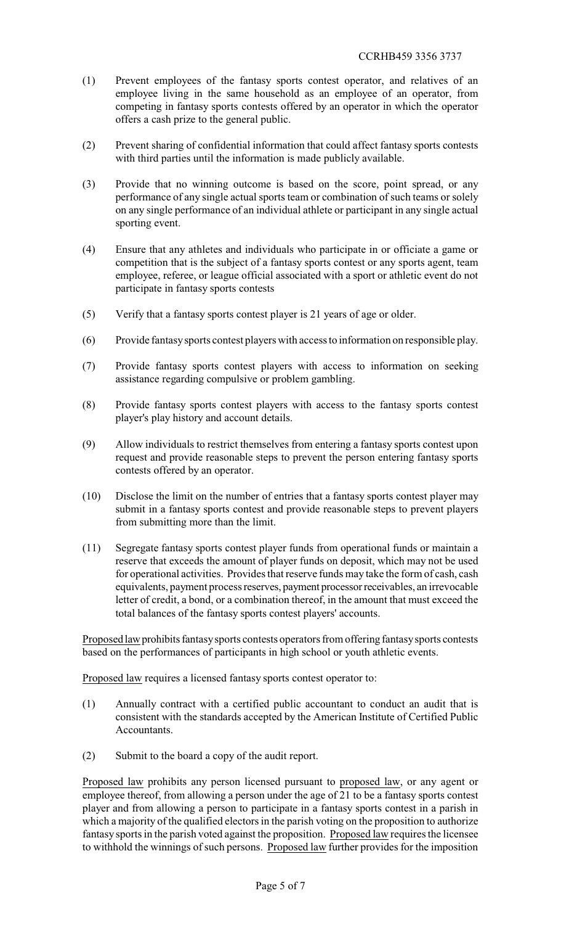- (1) Prevent employees of the fantasy sports contest operator, and relatives of an employee living in the same household as an employee of an operator, from competing in fantasy sports contests offered by an operator in which the operator offers a cash prize to the general public.
- (2) Prevent sharing of confidential information that could affect fantasy sports contests with third parties until the information is made publicly available.
- (3) Provide that no winning outcome is based on the score, point spread, or any performance of any single actual sports team or combination of such teams or solely on any single performance of an individual athlete or participant in any single actual sporting event.
- (4) Ensure that any athletes and individuals who participate in or officiate a game or competition that is the subject of a fantasy sports contest or any sports agent, team employee, referee, or league official associated with a sport or athletic event do not participate in fantasy sports contests
- (5) Verify that a fantasy sports contest player is 21 years of age or older.
- (6) Provide fantasysports contest players with access to information on responsible play.
- (7) Provide fantasy sports contest players with access to information on seeking assistance regarding compulsive or problem gambling.
- (8) Provide fantasy sports contest players with access to the fantasy sports contest player's play history and account details.
- (9) Allow individuals to restrict themselves from entering a fantasy sports contest upon request and provide reasonable steps to prevent the person entering fantasy sports contests offered by an operator.
- (10) Disclose the limit on the number of entries that a fantasy sports contest player may submit in a fantasy sports contest and provide reasonable steps to prevent players from submitting more than the limit.
- (11) Segregate fantasy sports contest player funds from operational funds or maintain a reserve that exceeds the amount of player funds on deposit, which may not be used for operational activities. Provides that reserve funds may take the form of cash, cash equivalents, payment process reserves, payment processorreceivables, an irrevocable letter of credit, a bond, or a combination thereof, in the amount that must exceed the total balances of the fantasy sports contest players' accounts.

Proposed law prohibits fantasy sports contests operators from offering fantasy sports contests based on the performances of participants in high school or youth athletic events.

Proposed law requires a licensed fantasy sports contest operator to:

- (1) Annually contract with a certified public accountant to conduct an audit that is consistent with the standards accepted by the American Institute of Certified Public Accountants.
- (2) Submit to the board a copy of the audit report.

Proposed law prohibits any person licensed pursuant to proposed law, or any agent or employee thereof, from allowing a person under the age of 21 to be a fantasy sports contest player and from allowing a person to participate in a fantasy sports contest in a parish in which a majority of the qualified electors in the parish voting on the proposition to authorize fantasy sports in the parish voted against the proposition. Proposed law requires the licensee to withhold the winnings of such persons. Proposed law further provides for the imposition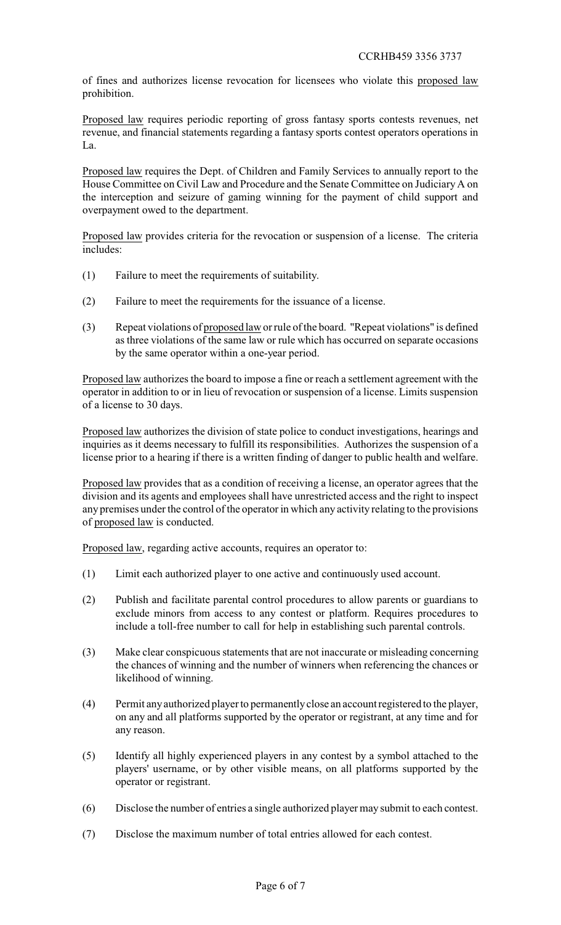of fines and authorizes license revocation for licensees who violate this proposed law prohibition.

Proposed law requires periodic reporting of gross fantasy sports contests revenues, net revenue, and financial statements regarding a fantasy sports contest operators operations in  $La$ 

Proposed law requires the Dept. of Children and Family Services to annually report to the House Committee on Civil Law and Procedure and the Senate Committee on Judiciary A on the interception and seizure of gaming winning for the payment of child support and overpayment owed to the department.

Proposed law provides criteria for the revocation or suspension of a license. The criteria includes:

- (1) Failure to meet the requirements of suitability.
- (2) Failure to meet the requirements for the issuance of a license.
- (3) Repeat violations of proposed law orrule of the board. "Repeat violations" is defined as three violations of the same law or rule which has occurred on separate occasions by the same operator within a one-year period.

Proposed law authorizes the board to impose a fine or reach a settlement agreement with the operator in addition to or in lieu of revocation or suspension of a license. Limits suspension of a license to 30 days.

Proposed law authorizes the division of state police to conduct investigations, hearings and inquiries as it deems necessary to fulfill its responsibilities. Authorizes the suspension of a license prior to a hearing if there is a written finding of danger to public health and welfare.

Proposed law provides that as a condition of receiving a license, an operator agrees that the division and its agents and employees shall have unrestricted access and the right to inspect any premises under the control of the operator in which any activity relating to the provisions of proposed law is conducted.

Proposed law, regarding active accounts, requires an operator to:

- (1) Limit each authorized player to one active and continuously used account.
- (2) Publish and facilitate parental control procedures to allow parents or guardians to exclude minors from access to any contest or platform. Requires procedures to include a toll-free number to call for help in establishing such parental controls.
- (3) Make clear conspicuous statements that are not inaccurate or misleading concerning the chances of winning and the number of winners when referencing the chances or likelihood of winning.
- (4) Permit anyauthorized player to permanentlyclose an account registered to the player, on any and all platforms supported by the operator or registrant, at any time and for any reason.
- (5) Identify all highly experienced players in any contest by a symbol attached to the players' username, or by other visible means, on all platforms supported by the operator or registrant.
- (6) Disclose the number of entries a single authorized player may submit to each contest.
- (7) Disclose the maximum number of total entries allowed for each contest.